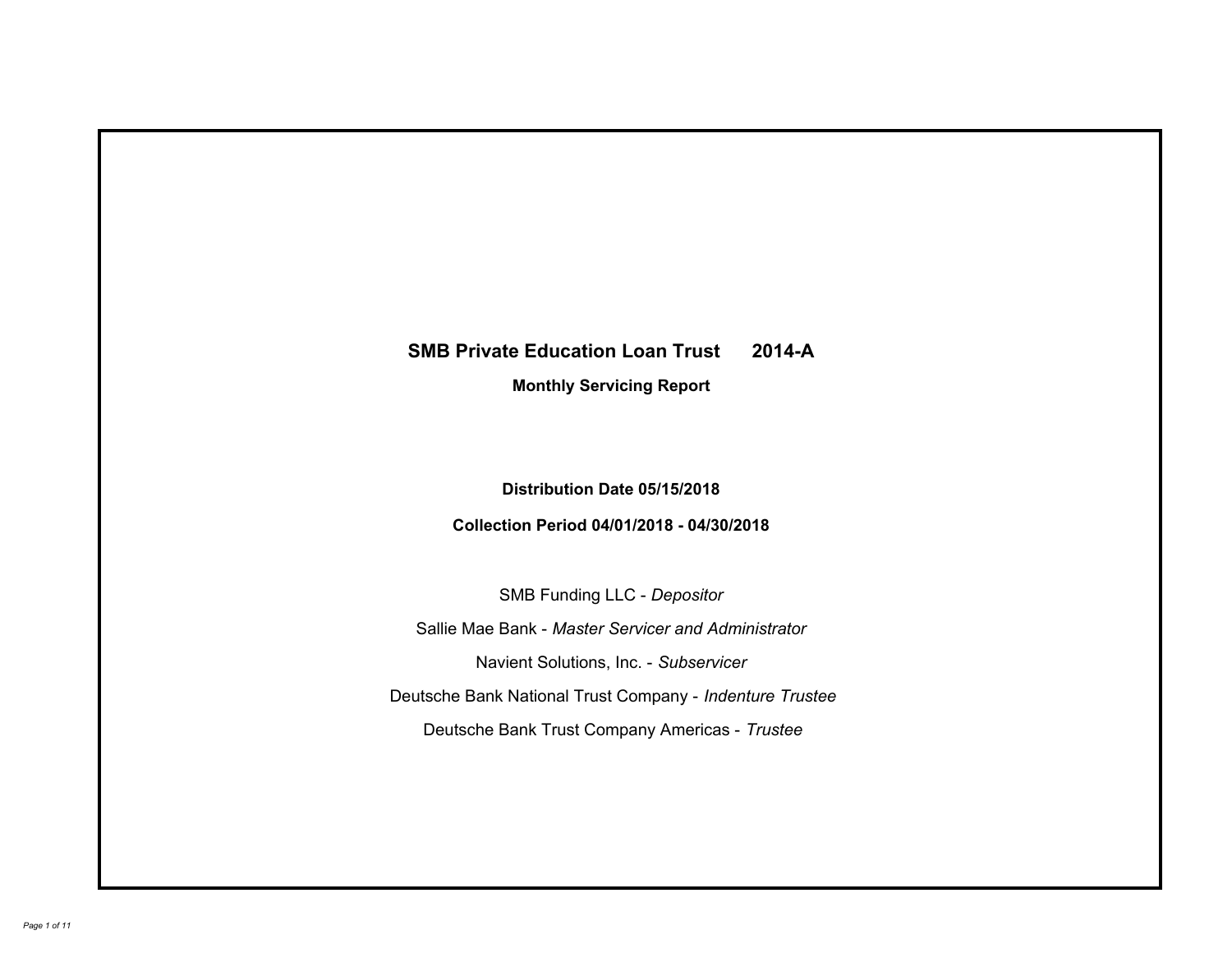# **SMB Private Education Loan Trust 2014-A Monthly Servicing Report**

# **Distribution Date 05/15/2018**

# **Collection Period 04/01/2018 - 04/30/2018**

SMB Funding LLC - *Depositor*

Sallie Mae Bank - *Master Servicer and Administrator*

Navient Solutions, Inc. - *Subservicer*

Deutsche Bank National Trust Company - *Indenture Trustee*

Deutsche Bank Trust Company Americas - *Trustee*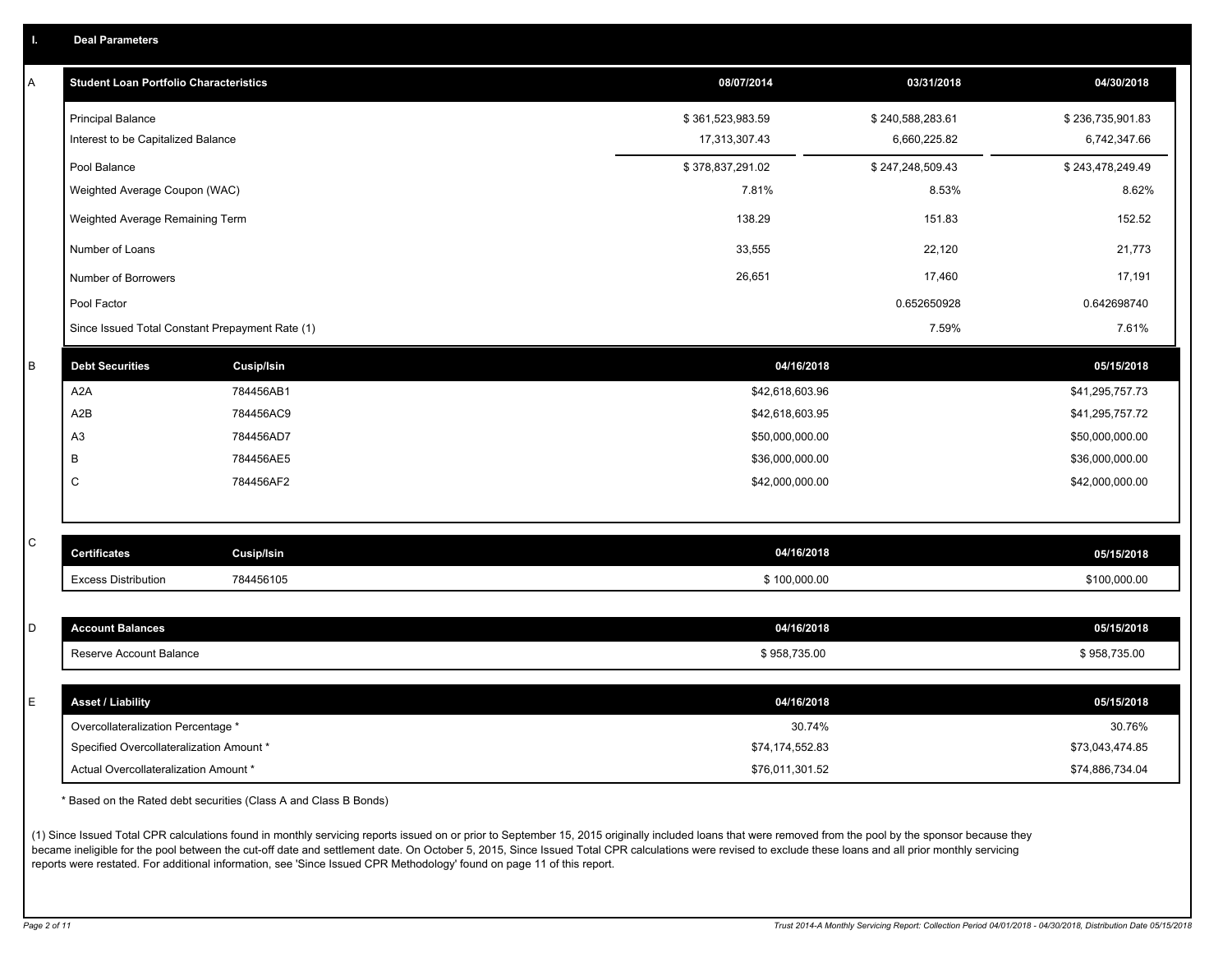|  |  |  |  | <b>Deal Parameters</b> |  |
|--|--|--|--|------------------------|--|
|--|--|--|--|------------------------|--|

| A | <b>Student Loan Portfolio Characteristics</b>   |                   |                  | 08/07/2014      | 03/31/2018       | 04/30/2018       |
|---|-------------------------------------------------|-------------------|------------------|-----------------|------------------|------------------|
|   | <b>Principal Balance</b>                        |                   | \$361,523,983.59 |                 | \$240,588,283.61 | \$236,735,901.83 |
|   | Interest to be Capitalized Balance              |                   |                  | 17,313,307.43   | 6,660,225.82     | 6,742,347.66     |
|   | Pool Balance                                    |                   | \$378,837,291.02 |                 | \$247,248,509.43 | \$243,478,249.49 |
|   | Weighted Average Coupon (WAC)                   |                   |                  | 7.81%           | 8.53%            | 8.62%            |
|   | Weighted Average Remaining Term                 |                   |                  | 138.29          | 151.83           | 152.52           |
|   | Number of Loans                                 |                   |                  | 33,555          | 22,120           | 21,773           |
|   | Number of Borrowers                             |                   |                  | 26,651          | 17,460           | 17,191           |
|   | Pool Factor                                     |                   |                  |                 | 0.652650928      | 0.642698740      |
|   | Since Issued Total Constant Prepayment Rate (1) |                   |                  |                 | 7.59%            | 7.61%            |
| B | <b>Debt Securities</b>                          | <b>Cusip/Isin</b> |                  | 04/16/2018      |                  | 05/15/2018       |
|   | A <sub>2</sub> A                                | 784456AB1         |                  | \$42,618,603.96 |                  | \$41,295,757.73  |
|   | A2B                                             | 784456AC9         |                  | \$42,618,603.95 |                  | \$41,295,757.72  |
|   | A <sub>3</sub>                                  | 784456AD7         |                  | \$50,000,000.00 |                  | \$50,000,000.00  |
|   | B                                               | 784456AE5         |                  | \$36,000,000.00 |                  | \$36,000,000.00  |
|   | C                                               | 784456AF2         |                  | \$42,000,000.00 |                  | \$42,000,000.00  |
|   |                                                 |                   |                  |                 |                  |                  |
| С | <b>Certificates</b>                             | Cusip/Isin        |                  | 04/16/2018      |                  | 05/15/2018       |
|   | <b>Excess Distribution</b>                      | 784456105         |                  | \$100,000.00    |                  | \$100,000.00     |
|   |                                                 |                   |                  |                 |                  |                  |
| D | <b>Account Balances</b>                         |                   |                  | 04/16/2018      |                  | 05/15/2018       |
|   | Reserve Account Balance                         |                   |                  | \$958,735.00    |                  | \$958,735.00     |
| E | <b>Asset / Liability</b>                        |                   |                  | 04/16/2018      |                  | 05/15/2018       |
|   | Overcollateralization Percentage *              |                   |                  | 30.74%          |                  | 30.76%           |
|   | Specified Overcollateralization Amount *        |                   |                  | \$74,174,552.83 |                  | \$73,043,474.85  |
|   | Actual Overcollateralization Amount *           |                   |                  | \$76,011,301.52 |                  | \$74,886,734.04  |

\* Based on the Rated debt securities (Class A and Class B Bonds)

(1) Since Issued Total CPR calculations found in monthly servicing reports issued on or prior to September 15, 2015 originally included loans that were removed from the pool by the sponsor because they became ineligible for the pool between the cut-off date and settlement date. On October 5, 2015, Since Issued Total CPR calculations were revised to exclude these loans and all prior monthly servicing reports were restated. For additional information, see 'Since Issued CPR Methodology' found on page 11 of this report.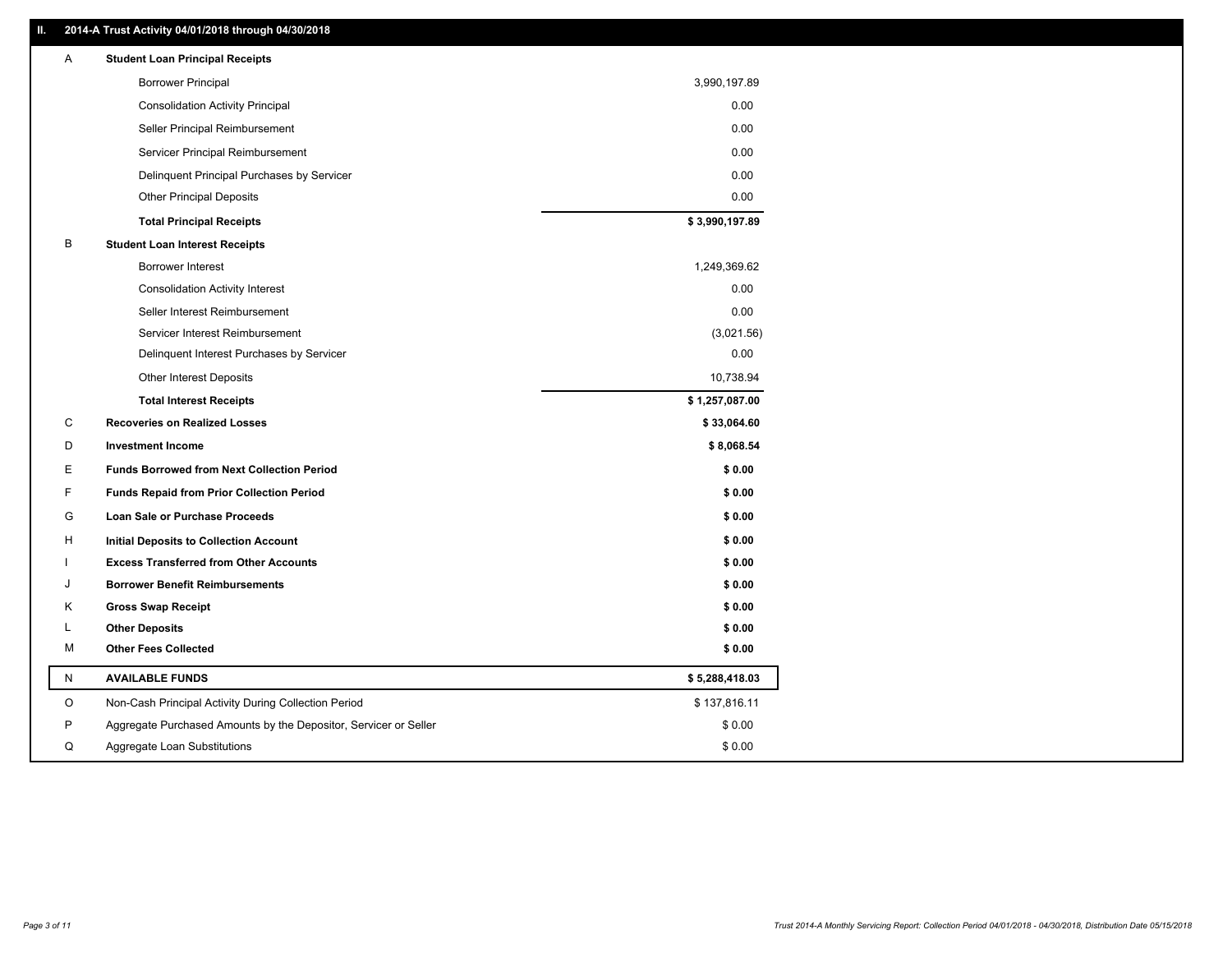### **II. 2014-A Trust Activity 04/01/2018 through 04/30/2018**

| Α | <b>Student Loan Principal Receipts</b>                           |                |
|---|------------------------------------------------------------------|----------------|
|   | <b>Borrower Principal</b>                                        | 3,990,197.89   |
|   | <b>Consolidation Activity Principal</b>                          | 0.00           |
|   | Seller Principal Reimbursement                                   | 0.00           |
|   | Servicer Principal Reimbursement                                 | 0.00           |
|   | Delinquent Principal Purchases by Servicer                       | 0.00           |
|   | <b>Other Principal Deposits</b>                                  | 0.00           |
|   | <b>Total Principal Receipts</b>                                  | \$3,990,197.89 |
| В | <b>Student Loan Interest Receipts</b>                            |                |
|   | <b>Borrower Interest</b>                                         | 1,249,369.62   |
|   | <b>Consolidation Activity Interest</b>                           | 0.00           |
|   | Seller Interest Reimbursement                                    | 0.00           |
|   | Servicer Interest Reimbursement                                  | (3,021.56)     |
|   | Delinquent Interest Purchases by Servicer                        | 0.00           |
|   | <b>Other Interest Deposits</b>                                   | 10,738.94      |
|   | <b>Total Interest Receipts</b>                                   | \$1,257,087.00 |
| С | <b>Recoveries on Realized Losses</b>                             | \$33,064.60    |
| D | <b>Investment Income</b>                                         | \$8,068.54     |
| Е | <b>Funds Borrowed from Next Collection Period</b>                | \$0.00         |
| F | <b>Funds Repaid from Prior Collection Period</b>                 | \$0.00         |
| G | Loan Sale or Purchase Proceeds                                   | \$0.00         |
| H | Initial Deposits to Collection Account                           | \$0.00         |
|   | <b>Excess Transferred from Other Accounts</b>                    | \$0.00         |
| J | <b>Borrower Benefit Reimbursements</b>                           | \$0.00         |
| Κ | <b>Gross Swap Receipt</b>                                        | \$0.00         |
| L | <b>Other Deposits</b>                                            | \$0.00         |
| М | <b>Other Fees Collected</b>                                      | \$0.00         |
| N | <b>AVAILABLE FUNDS</b>                                           | \$5,288,418.03 |
| O | Non-Cash Principal Activity During Collection Period             | \$137,816.11   |
| P | Aggregate Purchased Amounts by the Depositor, Servicer or Seller | \$0.00         |
| Q | Aggregate Loan Substitutions                                     | \$0.00         |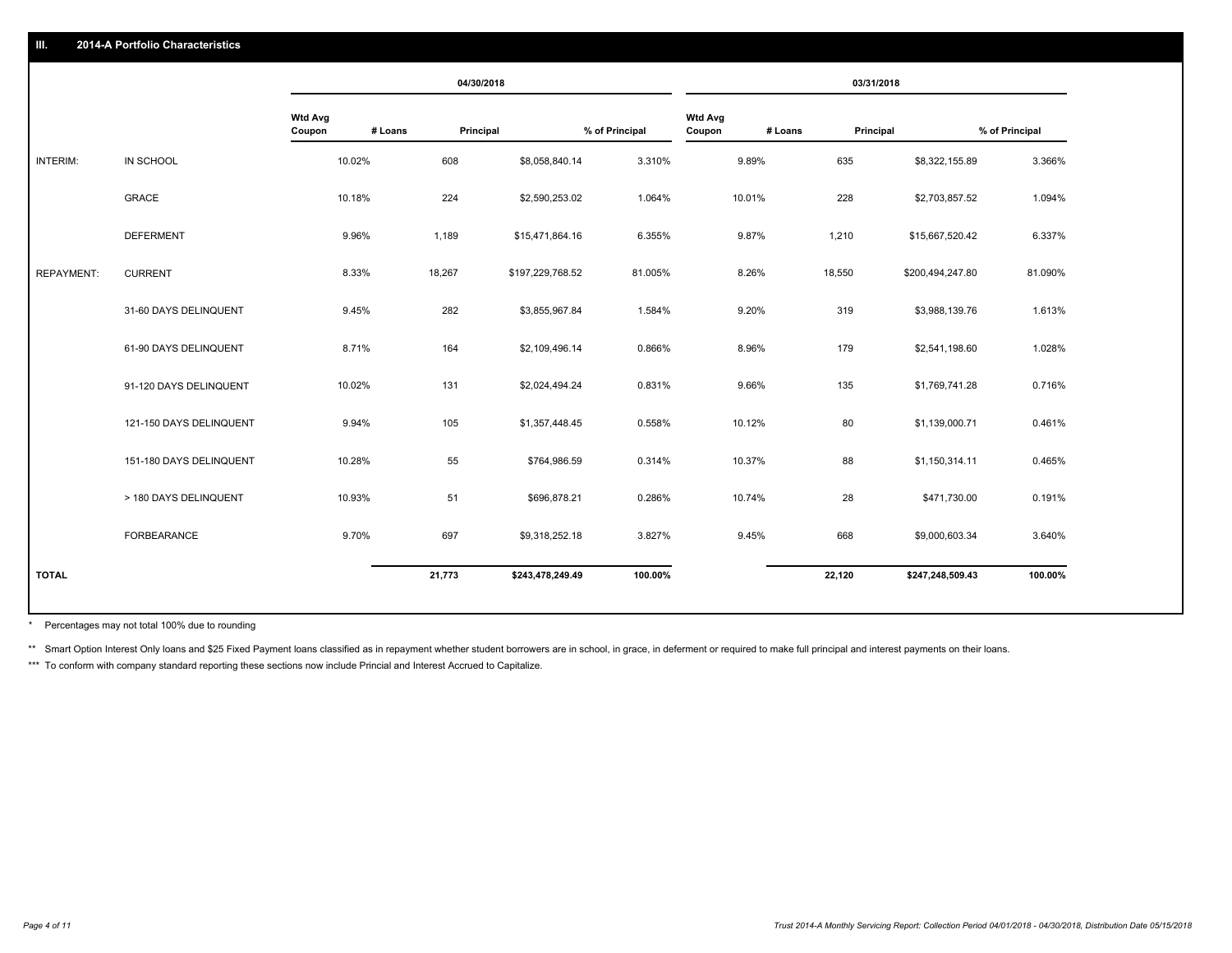|                   |                         |                   |         | 04/30/2018       |                |                          |         | 03/31/2018       |                |
|-------------------|-------------------------|-------------------|---------|------------------|----------------|--------------------------|---------|------------------|----------------|
|                   |                         | Wtd Avg<br>Coupon | # Loans | Principal        | % of Principal | <b>Wtd Avg</b><br>Coupon | # Loans | Principal        | % of Principal |
| INTERIM:          | IN SCHOOL               | 10.02%            | 608     | \$8,058,840.14   | 3.310%         | 9.89%                    | 635     | \$8,322,155.89   | 3.366%         |
|                   | <b>GRACE</b>            | 10.18%            | 224     | \$2,590,253.02   | 1.064%         | 10.01%                   | 228     | \$2,703,857.52   | 1.094%         |
|                   | <b>DEFERMENT</b>        | 9.96%             | 1,189   | \$15,471,864.16  | 6.355%         | 9.87%                    | 1,210   | \$15,667,520.42  | 6.337%         |
| <b>REPAYMENT:</b> | <b>CURRENT</b>          | 8.33%             | 18,267  | \$197,229,768.52 | 81.005%        | 8.26%                    | 18,550  | \$200,494,247.80 | 81.090%        |
|                   | 31-60 DAYS DELINQUENT   | 9.45%             | 282     | \$3,855,967.84   | 1.584%         | 9.20%                    | 319     | \$3,988,139.76   | 1.613%         |
|                   | 61-90 DAYS DELINQUENT   | 8.71%             | 164     | \$2,109,496.14   | 0.866%         | 8.96%                    | 179     | \$2,541,198.60   | 1.028%         |
|                   | 91-120 DAYS DELINQUENT  | 10.02%            | 131     | \$2,024,494.24   | 0.831%         | 9.66%                    | 135     | \$1,769,741.28   | 0.716%         |
|                   | 121-150 DAYS DELINQUENT | 9.94%             | 105     | \$1,357,448.45   | 0.558%         | 10.12%                   | 80      | \$1,139,000.71   | 0.461%         |
|                   | 151-180 DAYS DELINQUENT | 10.28%            | 55      | \$764,986.59     | 0.314%         | 10.37%                   | 88      | \$1,150,314.11   | 0.465%         |
|                   | > 180 DAYS DELINQUENT   | 10.93%            | 51      | \$696,878.21     | 0.286%         | 10.74%                   | 28      | \$471,730.00     | 0.191%         |
|                   | <b>FORBEARANCE</b>      | 9.70%             | 697     | \$9,318,252.18   | 3.827%         | 9.45%                    | 668     | \$9,000,603.34   | 3.640%         |
| <b>TOTAL</b>      |                         |                   | 21,773  | \$243,478,249.49 | 100.00%        |                          | 22,120  | \$247,248,509.43 | 100.00%        |
|                   |                         |                   |         |                  |                |                          |         |                  |                |

Percentages may not total 100% due to rounding \*

\*\* Smart Option Interest Only loans and \$25 Fixed Payment loans classified as in repayment whether student borrowers are in school, in grace, in deferment or required to make full principal and interest payments on their l

\*\*\* To conform with company standard reporting these sections now include Princial and Interest Accrued to Capitalize.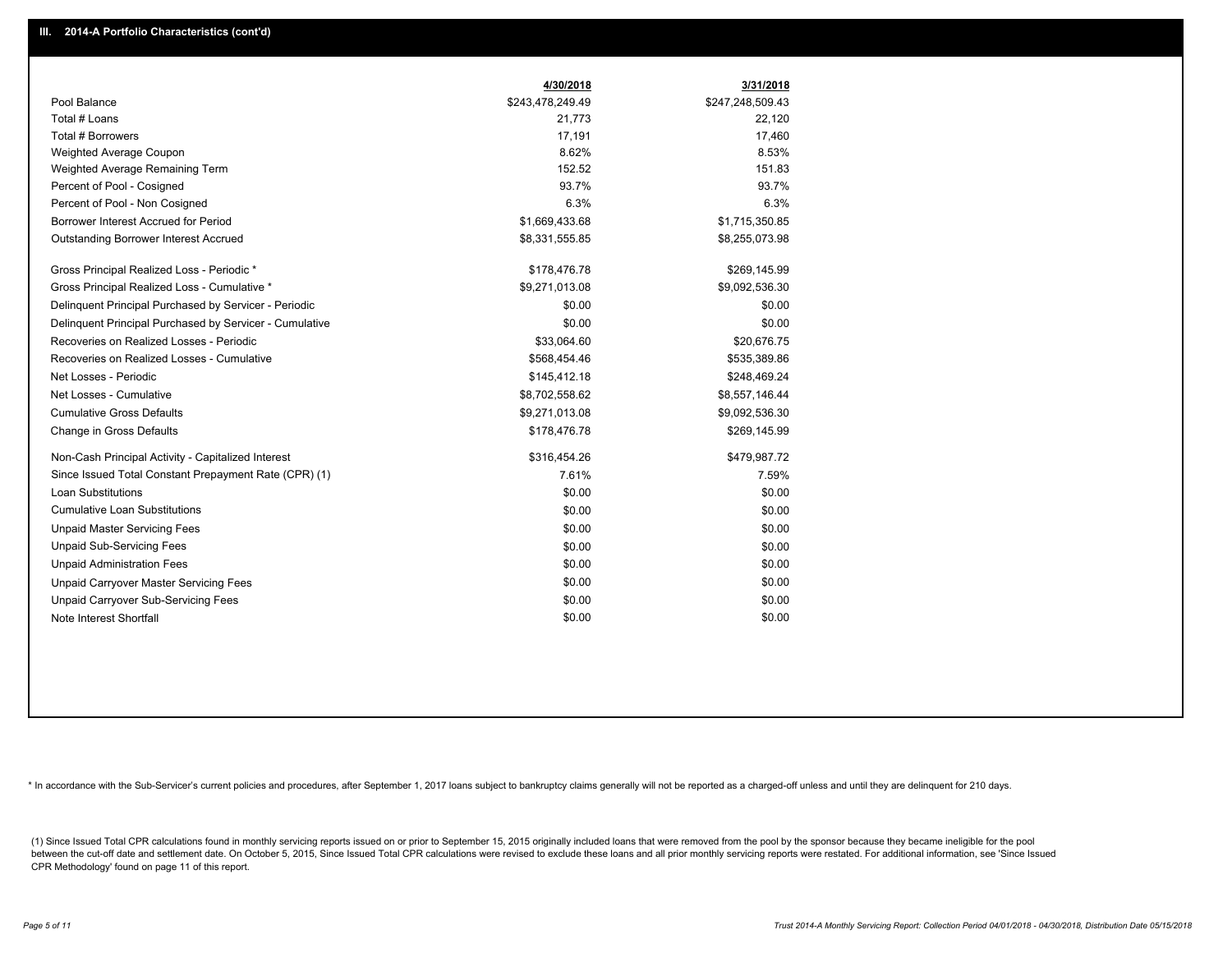|                                                         | 4/30/2018        | 3/31/2018        |
|---------------------------------------------------------|------------------|------------------|
| Pool Balance                                            | \$243,478,249.49 | \$247,248,509.43 |
| Total # Loans                                           | 21,773           | 22,120           |
| Total # Borrowers                                       | 17,191           | 17,460           |
| Weighted Average Coupon                                 | 8.62%            | 8.53%            |
| Weighted Average Remaining Term                         | 152.52           | 151.83           |
| Percent of Pool - Cosigned                              | 93.7%            | 93.7%            |
| Percent of Pool - Non Cosigned                          | 6.3%             | 6.3%             |
| Borrower Interest Accrued for Period                    | \$1,669,433.68   | \$1,715,350.85   |
| <b>Outstanding Borrower Interest Accrued</b>            | \$8,331,555.85   | \$8,255,073.98   |
| Gross Principal Realized Loss - Periodic *              | \$178,476.78     | \$269,145.99     |
| Gross Principal Realized Loss - Cumulative *            | \$9,271,013.08   | \$9,092,536.30   |
| Delinquent Principal Purchased by Servicer - Periodic   | \$0.00           | \$0.00           |
| Delinguent Principal Purchased by Servicer - Cumulative | \$0.00           | \$0.00           |
| Recoveries on Realized Losses - Periodic                | \$33,064.60      | \$20,676.75      |
| Recoveries on Realized Losses - Cumulative              | \$568,454.46     | \$535,389.86     |
| Net Losses - Periodic                                   | \$145,412.18     | \$248,469.24     |
| Net Losses - Cumulative                                 | \$8,702,558.62   | \$8,557,146.44   |
| <b>Cumulative Gross Defaults</b>                        | \$9,271,013.08   | \$9,092,536.30   |
| Change in Gross Defaults                                | \$178,476.78     | \$269,145.99     |
| Non-Cash Principal Activity - Capitalized Interest      | \$316,454.26     | \$479,987.72     |
| Since Issued Total Constant Prepayment Rate (CPR) (1)   | 7.61%            | 7.59%            |
| <b>Loan Substitutions</b>                               | \$0.00           | \$0.00           |
| <b>Cumulative Loan Substitutions</b>                    | \$0.00           | \$0.00           |
| <b>Unpaid Master Servicing Fees</b>                     | \$0.00           | \$0.00           |
| <b>Unpaid Sub-Servicing Fees</b>                        | \$0.00           | \$0.00           |
| <b>Unpaid Administration Fees</b>                       | \$0.00           | \$0.00           |
| <b>Unpaid Carryover Master Servicing Fees</b>           | \$0.00           | \$0.00           |
| Unpaid Carryover Sub-Servicing Fees                     | \$0.00           | \$0.00           |
| Note Interest Shortfall                                 | \$0.00           | \$0.00           |

\* In accordance with the Sub-Servicer's current policies and procedures, after September 1, 2017 loans subject to bankruptcy claims generally will not be reported as a charged-off unless and until they are delinquent for 2

(1) Since Issued Total CPR calculations found in monthly servicing reports issued on or prior to September 15, 2015 originally included loans that were removed from the pool by the sponsor because they became ineligible fo between the cut-off date and settlement date. On October 5, 2015, Since Issued Total CPR calculations were revised to exclude these loans and all prior monthly servicing reports were restated. For additional information, s CPR Methodology' found on page 11 of this report.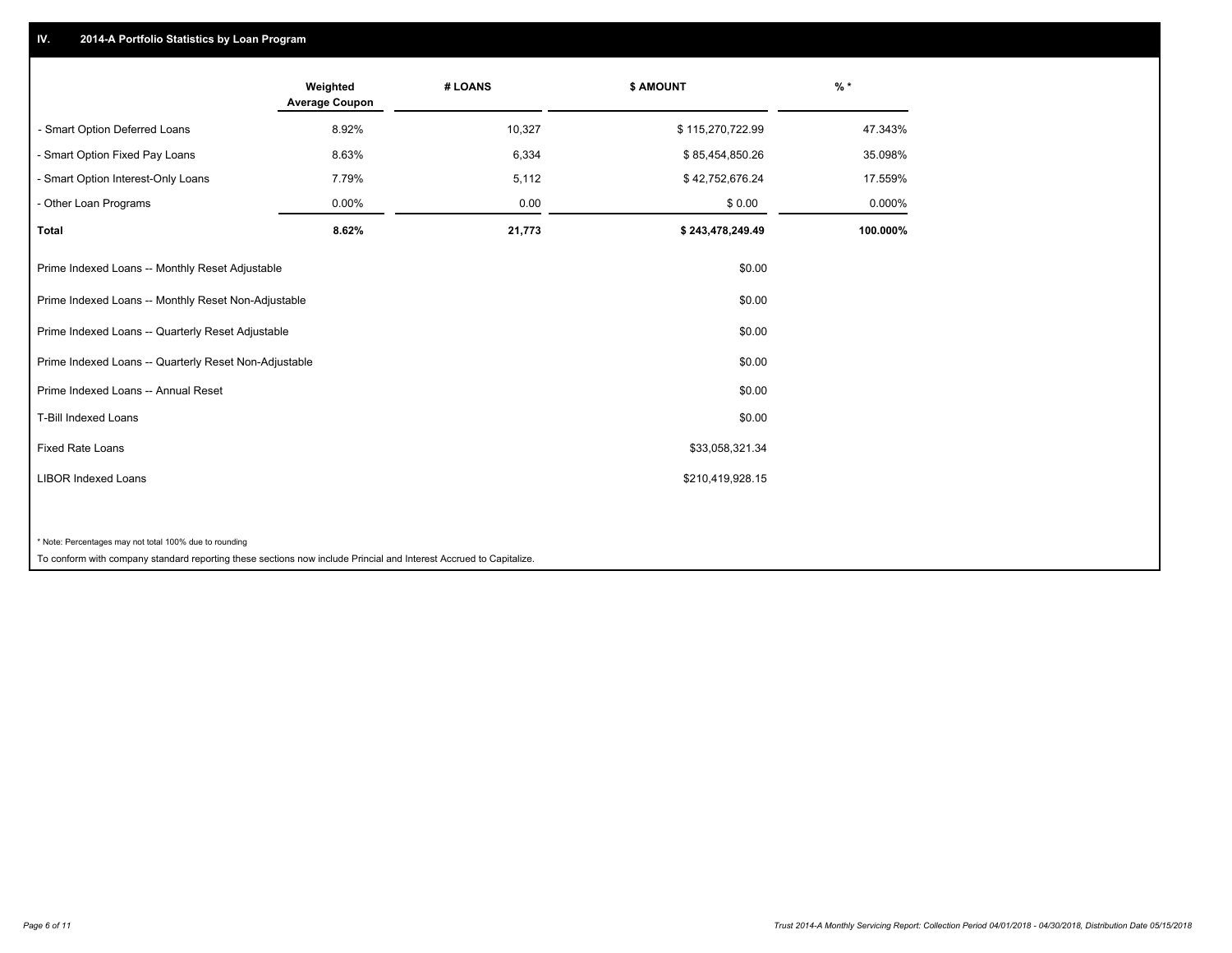## **IV. 2014-A Portfolio Statistics by Loan Program**

|                                                                                                                    | Weighted<br><b>Average Coupon</b> | # LOANS | \$ AMOUNT        | $\frac{9}{6}$ * |
|--------------------------------------------------------------------------------------------------------------------|-----------------------------------|---------|------------------|-----------------|
| - Smart Option Deferred Loans                                                                                      | 8.92%                             | 10,327  | \$115,270,722.99 | 47.343%         |
| - Smart Option Fixed Pay Loans                                                                                     | 8.63%                             | 6,334   | \$85,454,850.26  | 35.098%         |
| - Smart Option Interest-Only Loans                                                                                 | 7.79%                             | 5,112   | \$42,752,676.24  | 17.559%         |
| - Other Loan Programs                                                                                              | 0.00%                             | 0.00    | \$0.00           | 0.000%          |
| <b>Total</b>                                                                                                       | 8.62%                             | 21,773  | \$243,478,249.49 | 100.000%        |
| Prime Indexed Loans -- Monthly Reset Adjustable                                                                    |                                   |         | \$0.00           |                 |
| Prime Indexed Loans -- Monthly Reset Non-Adjustable                                                                |                                   |         | \$0.00           |                 |
| Prime Indexed Loans -- Quarterly Reset Adjustable                                                                  |                                   |         | \$0.00           |                 |
| Prime Indexed Loans -- Quarterly Reset Non-Adjustable                                                              |                                   |         | \$0.00           |                 |
| Prime Indexed Loans -- Annual Reset                                                                                |                                   |         | \$0.00           |                 |
| T-Bill Indexed Loans                                                                                               |                                   |         | \$0.00           |                 |
| Fixed Rate Loans                                                                                                   |                                   |         | \$33,058,321.34  |                 |
| <b>LIBOR Indexed Loans</b>                                                                                         |                                   |         | \$210,419,928.15 |                 |
|                                                                                                                    |                                   |         |                  |                 |
| * Note: Percentages may not total 100% due to rounding                                                             |                                   |         |                  |                 |
| To conform with company standard reporting these sections now include Princial and Interest Accrued to Capitalize. |                                   |         |                  |                 |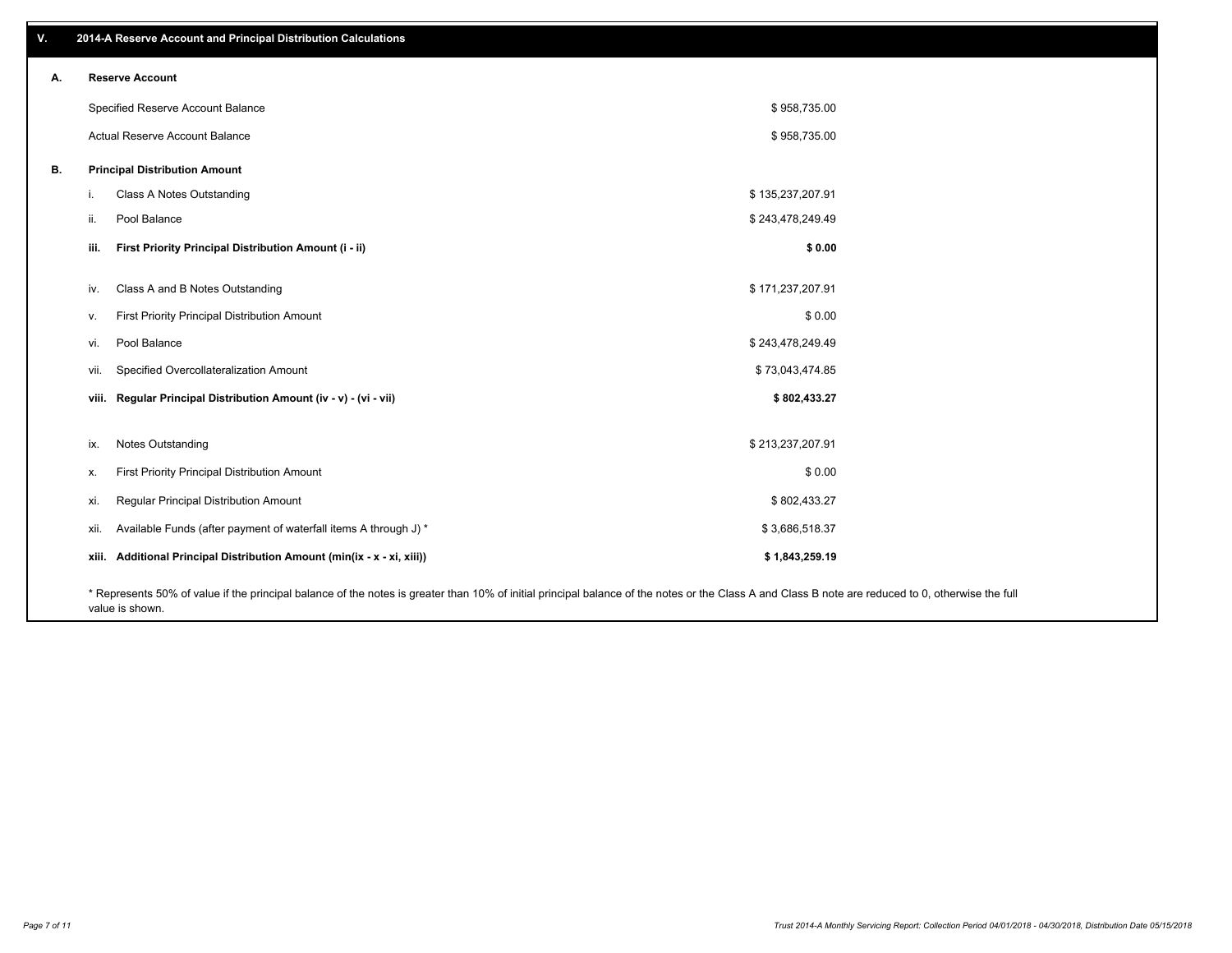| V. | 2014-A Reserve Account and Principal Distribution Calculations                                                                                                                                     |                  |  |
|----|----------------------------------------------------------------------------------------------------------------------------------------------------------------------------------------------------|------------------|--|
| А. | <b>Reserve Account</b>                                                                                                                                                                             |                  |  |
|    | Specified Reserve Account Balance                                                                                                                                                                  | \$958,735.00     |  |
|    | Actual Reserve Account Balance                                                                                                                                                                     | \$958,735.00     |  |
| В. | <b>Principal Distribution Amount</b>                                                                                                                                                               |                  |  |
|    | Class A Notes Outstanding<br>j.                                                                                                                                                                    | \$135,237,207.91 |  |
|    | Pool Balance<br>ii.                                                                                                                                                                                | \$243,478,249.49 |  |
|    | First Priority Principal Distribution Amount (i - ii)<br>iii.                                                                                                                                      | \$0.00           |  |
|    | Class A and B Notes Outstanding<br>iv.                                                                                                                                                             | \$171,237,207.91 |  |
|    | First Priority Principal Distribution Amount<br>V.                                                                                                                                                 | \$0.00           |  |
|    | Pool Balance<br>vi.                                                                                                                                                                                | \$243,478,249.49 |  |
|    | Specified Overcollateralization Amount<br>vii.                                                                                                                                                     | \$73,043,474.85  |  |
|    | viii. Regular Principal Distribution Amount (iv - v) - (vi - vii)                                                                                                                                  | \$802,433.27     |  |
|    |                                                                                                                                                                                                    |                  |  |
|    | Notes Outstanding<br>ix.                                                                                                                                                                           | \$213,237,207.91 |  |
|    | First Priority Principal Distribution Amount<br>х.                                                                                                                                                 | \$0.00           |  |
|    | Regular Principal Distribution Amount<br>xi.                                                                                                                                                       | \$802,433.27     |  |
|    | Available Funds (after payment of waterfall items A through J) *<br>xii.                                                                                                                           | \$3,686,518.37   |  |
|    | xiii. Additional Principal Distribution Amount (min(ix - x - xi, xiii))                                                                                                                            | \$1,843,259.19   |  |
|    | * Represents 50% of value if the principal balance of the notes is greater than 10% of initial principal balance of the notes or the Class A and Class B note are reduced to 0, otherwise the full |                  |  |

value is shown.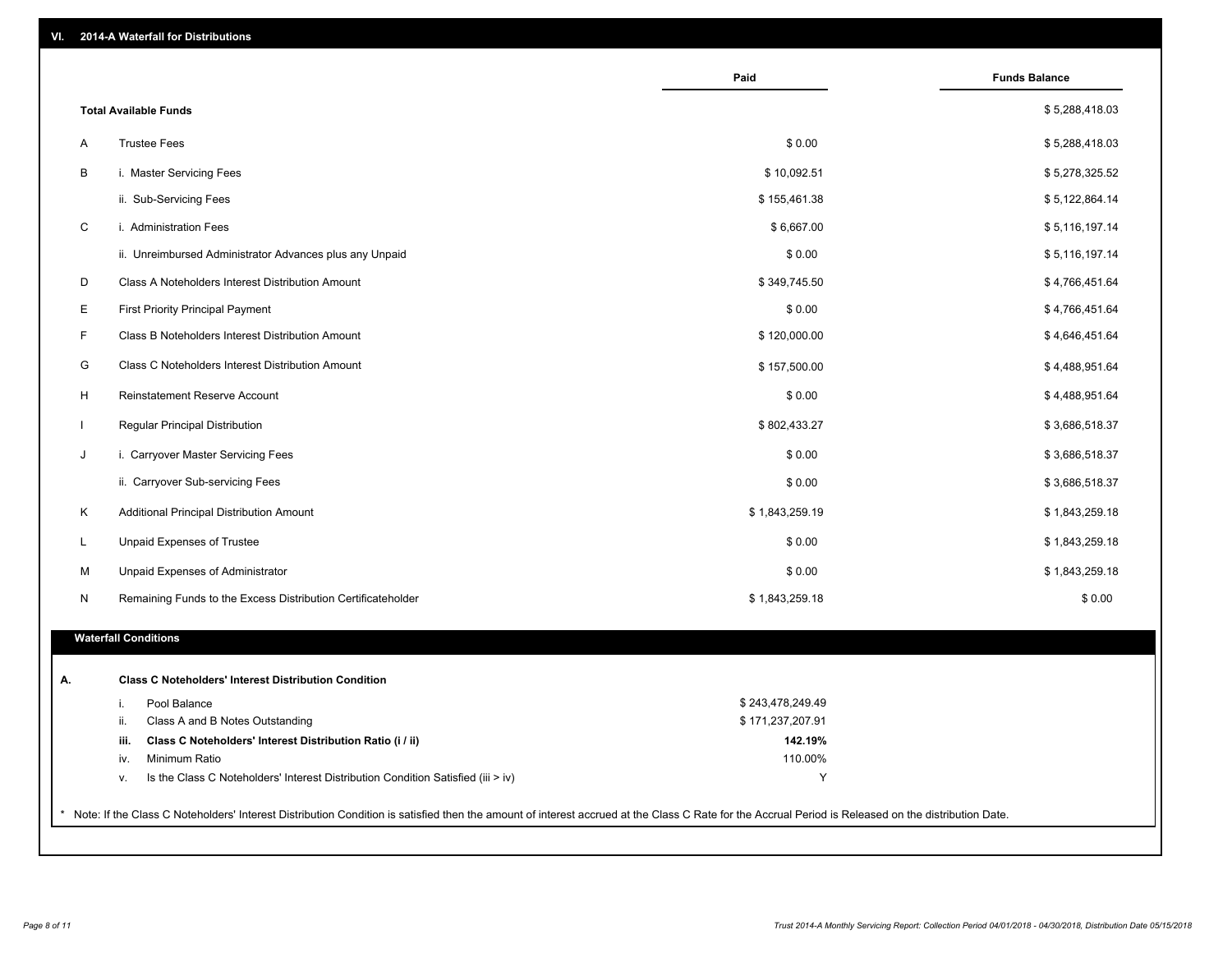| VI. | 2014-A Waterfall for Distributions |  |
|-----|------------------------------------|--|
|-----|------------------------------------|--|

|                                                                                        | Paid             | <b>Funds Balance</b> |
|----------------------------------------------------------------------------------------|------------------|----------------------|
| <b>Total Available Funds</b>                                                           |                  | \$5,288,418.03       |
| <b>Trustee Fees</b><br>Α                                                               | \$0.00           | \$5,288,418.03       |
| B<br>i. Master Servicing Fees                                                          | \$10,092.51      | \$5,278,325.52       |
| ii. Sub-Servicing Fees                                                                 | \$155,461.38     | \$5,122,864.14       |
| i. Administration Fees                                                                 | \$6,667.00       | \$5,116,197.14       |
| ii. Unreimbursed Administrator Advances plus any Unpaid                                | \$0.00           | \$5,116,197.14       |
| Class A Noteholders Interest Distribution Amount                                       | \$349,745.50     | \$4,766,451.64       |
| <b>First Priority Principal Payment</b>                                                | \$0.00           | \$4,766,451.64       |
| F<br>Class B Noteholders Interest Distribution Amount                                  | \$120,000.00     | \$4,646,451.64       |
| G<br>Class C Noteholders Interest Distribution Amount                                  | \$157,500.00     | \$4,488,951.64       |
| H<br>Reinstatement Reserve Account                                                     | \$0.00           | \$4,488,951.64       |
| $\mathbf{I}$<br>Regular Principal Distribution                                         | \$802,433.27     | \$3,686,518.37       |
| J<br>i. Carryover Master Servicing Fees                                                | \$0.00           | \$3,686,518.37       |
| ii. Carryover Sub-servicing Fees                                                       | \$0.00           | \$3,686,518.37       |
| Κ<br>Additional Principal Distribution Amount                                          | \$1,843,259.19   | \$1,843,259.18       |
| L<br>Unpaid Expenses of Trustee                                                        | \$0.00           | \$1,843,259.18       |
| M<br>Unpaid Expenses of Administrator                                                  | \$0.00           | \$1,843,259.18       |
| Remaining Funds to the Excess Distribution Certificateholder<br>N                      | \$1,843,259.18   | \$0.00               |
| <b>Waterfall Conditions</b>                                                            |                  |                      |
| <b>Class C Noteholders' Interest Distribution Condition</b>                            |                  |                      |
| Pool Balance<br>i.                                                                     | \$243,478,249.49 |                      |
| ii.<br>Class A and B Notes Outstanding                                                 | \$171,237,207.91 |                      |
| Class C Noteholders' Interest Distribution Ratio (i / ii)<br>iii.                      | 142.19%          |                      |
| Minimum Ratio<br>iv.                                                                   | 110.00%          |                      |
| Is the Class C Noteholders' Interest Distribution Condition Satisfied (iii > iv)<br>۷. | Y                |                      |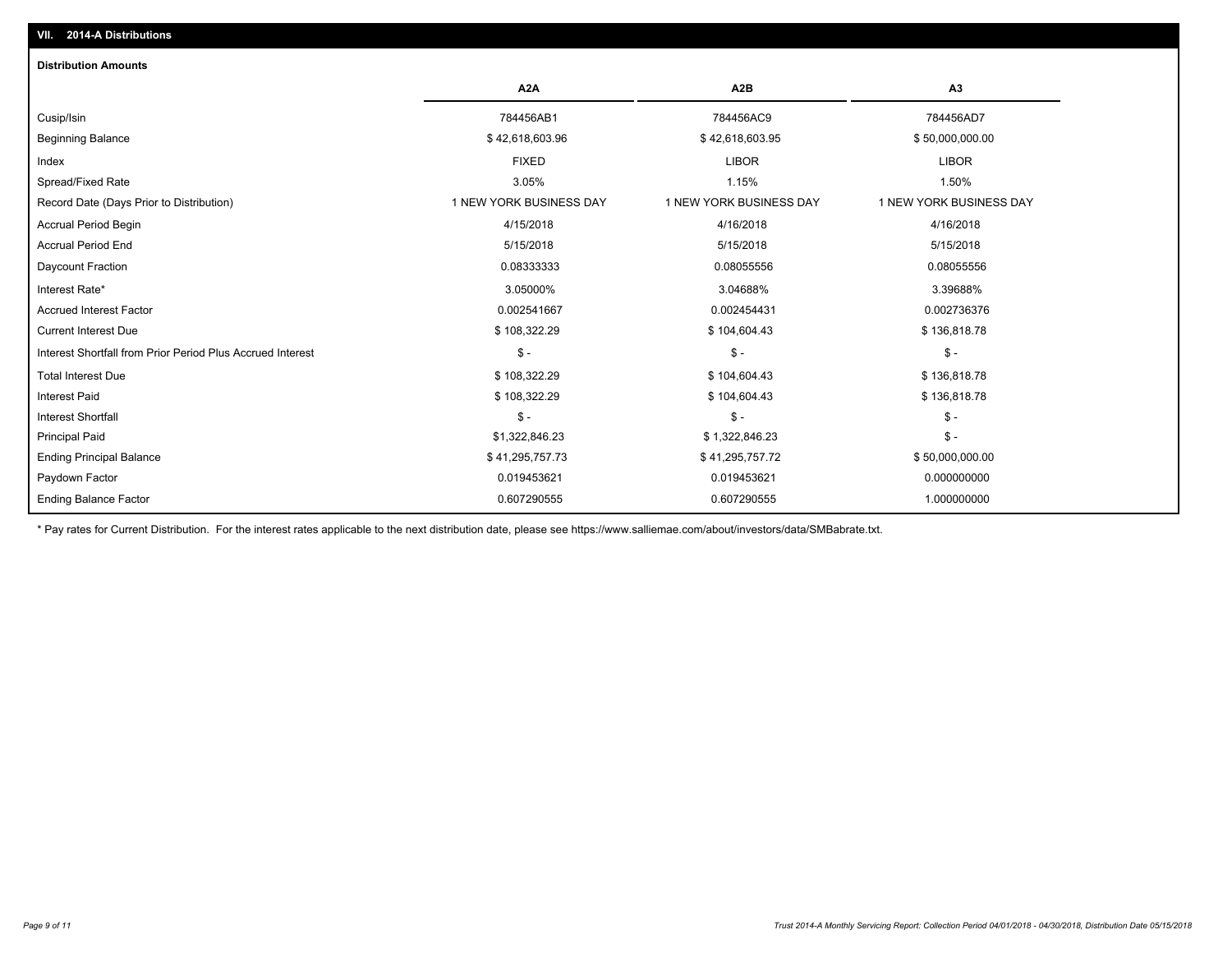| <b>Distribution Amounts</b>                                |                         |                         |                         |
|------------------------------------------------------------|-------------------------|-------------------------|-------------------------|
|                                                            | A <sub>2</sub> A        | A <sub>2</sub> B        | A3                      |
| Cusip/Isin                                                 | 784456AB1               | 784456AC9               | 784456AD7               |
| <b>Beginning Balance</b>                                   | \$42,618,603.96         | \$42,618,603.95         | \$50,000,000.00         |
| Index                                                      | <b>FIXED</b>            | <b>LIBOR</b>            | <b>LIBOR</b>            |
| Spread/Fixed Rate                                          | 3.05%                   | 1.15%                   | 1.50%                   |
| Record Date (Days Prior to Distribution)                   | 1 NEW YORK BUSINESS DAY | 1 NEW YORK BUSINESS DAY | 1 NEW YORK BUSINESS DAY |
| Accrual Period Begin                                       | 4/15/2018               | 4/16/2018               | 4/16/2018               |
| <b>Accrual Period End</b>                                  | 5/15/2018               | 5/15/2018               | 5/15/2018               |
| Daycount Fraction                                          | 0.08333333              | 0.08055556              | 0.08055556              |
| Interest Rate*                                             | 3.05000%                | 3.04688%                | 3.39688%                |
| <b>Accrued Interest Factor</b>                             | 0.002541667             | 0.002454431             | 0.002736376             |
| <b>Current Interest Due</b>                                | \$108,322.29            | \$104,604.43            | \$136,818.78            |
| Interest Shortfall from Prior Period Plus Accrued Interest | $$ -$                   | $\mathsf{\$}$ -         | $\frac{1}{2}$           |
| <b>Total Interest Due</b>                                  | \$108,322.29            | \$104,604.43            | \$136,818.78            |
| <b>Interest Paid</b>                                       | \$108,322.29            | \$104,604.43            | \$136,818.78            |
| <b>Interest Shortfall</b>                                  | $S -$                   | $S -$                   | $\frac{2}{3}$ -         |
| <b>Principal Paid</b>                                      | \$1,322,846.23          | \$1,322,846.23          | $\frac{2}{3}$ -         |
| <b>Ending Principal Balance</b>                            | \$41,295,757.73         | \$41,295,757.72         | \$50,000,000.00         |
| Paydown Factor                                             | 0.019453621             | 0.019453621             | 0.000000000             |
| <b>Ending Balance Factor</b>                               | 0.607290555             | 0.607290555             | 1.000000000             |

\* Pay rates for Current Distribution. For the interest rates applicable to the next distribution date, please see https://www.salliemae.com/about/investors/data/SMBabrate.txt.

**VII. 2014-A Distributions**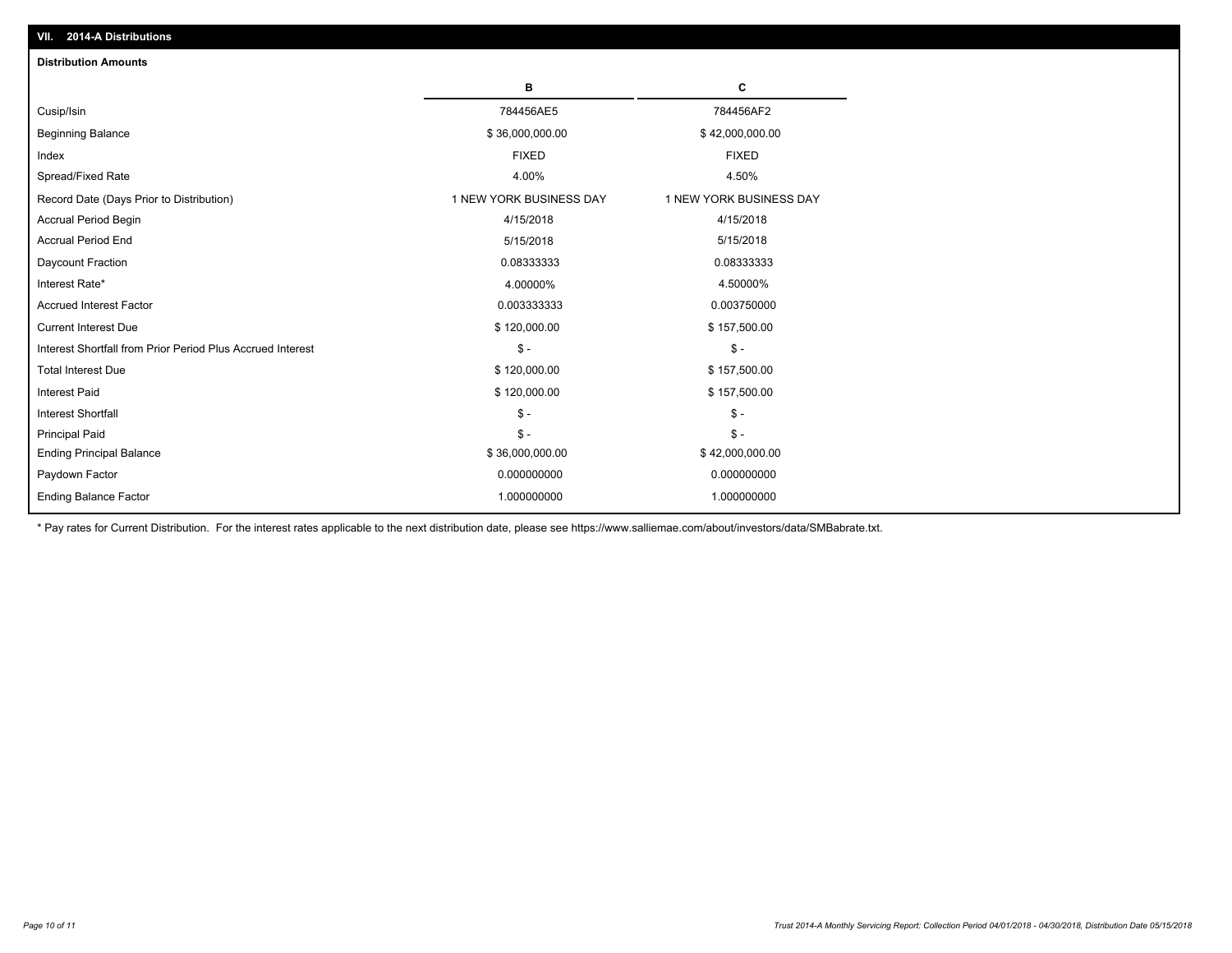| VII. 2014-A Distributions                                  |                         |                         |
|------------------------------------------------------------|-------------------------|-------------------------|
| <b>Distribution Amounts</b>                                |                         |                         |
|                                                            | в                       | C                       |
| Cusip/Isin                                                 | 784456AE5               | 784456AF2               |
| <b>Beginning Balance</b>                                   | \$36,000,000.00         | \$42,000,000.00         |
| Index                                                      | <b>FIXED</b>            | <b>FIXED</b>            |
| Spread/Fixed Rate                                          | 4.00%                   | 4.50%                   |
| Record Date (Days Prior to Distribution)                   | 1 NEW YORK BUSINESS DAY | 1 NEW YORK BUSINESS DAY |
| <b>Accrual Period Begin</b>                                | 4/15/2018               | 4/15/2018               |
| <b>Accrual Period End</b>                                  | 5/15/2018               | 5/15/2018               |
| Daycount Fraction                                          | 0.08333333              | 0.08333333              |
| Interest Rate*                                             | 4.00000%                | 4.50000%                |
| <b>Accrued Interest Factor</b>                             | 0.003333333             | 0.003750000             |
| <b>Current Interest Due</b>                                | \$120,000.00            | \$157,500.00            |
| Interest Shortfall from Prior Period Plus Accrued Interest | $\mathsf{\$}$ -         | $\mathsf{\$}$ -         |
| <b>Total Interest Due</b>                                  | \$120,000.00            | \$157,500.00            |
| <b>Interest Paid</b>                                       | \$120,000.00            | \$157,500.00            |
| <b>Interest Shortfall</b>                                  | $\mathcal{S}$ -         | $\mathsf{\$}$ -         |
| <b>Principal Paid</b>                                      | $S -$                   | $S -$                   |
| <b>Ending Principal Balance</b>                            | \$36,000,000.00         | \$42,000,000.00         |
| Paydown Factor                                             | 0.000000000             | 0.000000000             |
| <b>Ending Balance Factor</b>                               | 1.000000000             | 1.000000000             |

\* Pay rates for Current Distribution. For the interest rates applicable to the next distribution date, please see https://www.salliemae.com/about/investors/data/SMBabrate.txt.